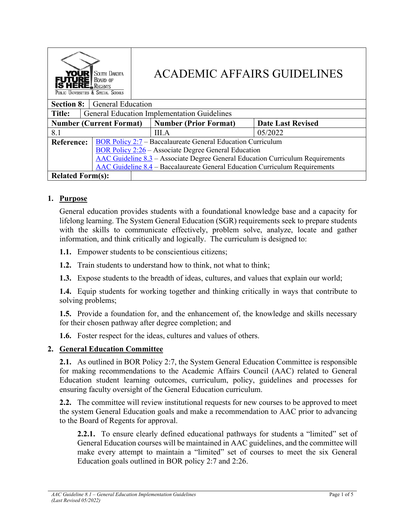| SOUTH DAKOTA<br><b>YOUR</b><br><b>BOARD OF</b><br><b>ERE</b> LREGENTS<br>PUBLIC UNIVERSITIES & SPECIAL SCHOOLS |                                                                                    | <b>ACADEMIC AFFAIRS GUIDELINES</b> |                          |         |  |  |
|----------------------------------------------------------------------------------------------------------------|------------------------------------------------------------------------------------|------------------------------------|--------------------------|---------|--|--|
| <b>Section 8:</b><br><b>General Education</b>                                                                  |                                                                                    |                                    |                          |         |  |  |
| <b>General Education Implementation Guidelines</b><br><b>Title:</b>                                            |                                                                                    |                                    |                          |         |  |  |
| <b>Number (Current Format)</b>                                                                                 |                                                                                    | <b>Number (Prior Format)</b>       | <b>Date Last Revised</b> |         |  |  |
| 8.1                                                                                                            |                                                                                    |                                    | <b>III.A</b>             | 05/2022 |  |  |
| <b>Reference:</b>                                                                                              | BOR Policy 2:7 – Baccalaureate General Education Curriculum                        |                                    |                          |         |  |  |
|                                                                                                                | BOR Policy $2:26$ – Associate Degree General Education                             |                                    |                          |         |  |  |
|                                                                                                                | AAC Guideline 8.3 – Associate Degree General Education Curriculum Requirements     |                                    |                          |         |  |  |
|                                                                                                                | <b>AAC Guideline 8.4 – Baccalaureate General Education Curriculum Requirements</b> |                                    |                          |         |  |  |
| <b>Related Form(s):</b>                                                                                        |                                                                                    |                                    |                          |         |  |  |

# **1. Purpose**

General education provides students with a foundational knowledge base and a capacity for lifelong learning. The System General Education (SGR) requirements seek to prepare students with the skills to communicate effectively, problem solve, analyze, locate and gather information, and think critically and logically. The curriculum is designed to:

**1.1.** Empower students to be conscientious citizens;

**1.2.** Train students to understand how to think, not what to think;

**1.3.** Expose students to the breadth of ideas, cultures, and values that explain our world;

**1.4.** Equip students for working together and thinking critically in ways that contribute to solving problems;

**1.5.** Provide a foundation for, and the enhancement of, the knowledge and skills necessary for their chosen pathway after degree completion; and

**1.6.** Foster respect for the ideas, cultures and values of others.

### **2. General Education Committee**

**2.1.** As outlined in BOR Policy 2:7, the System General Education Committee is responsible for making recommendations to the Academic Affairs Council (AAC) related to General Education student learning outcomes, curriculum, policy, guidelines and processes for ensuring faculty oversight of the General Education curriculum.

**2.2.** The committee will review institutional requests for new courses to be approved to meet the system General Education goals and make a recommendation to AAC prior to advancing to the Board of Regents for approval.

**2.2.1.** To ensure clearly defined educational pathways for students a "limited" set of General Education courses will be maintained in AAC guidelines, and the committee will make every attempt to maintain a "limited" set of courses to meet the six General Education goals outlined in BOR policy 2:7 and 2:26.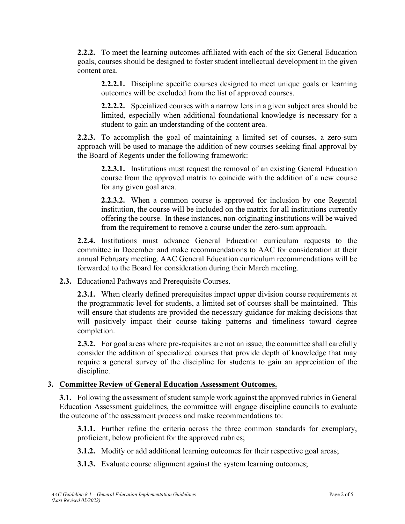**2.2.2.** To meet the learning outcomes affiliated with each of the six General Education goals, courses should be designed to foster student intellectual development in the given content area.

**2.2.2.1.** Discipline specific courses designed to meet unique goals or learning outcomes will be excluded from the list of approved courses.

**2.2.2.2.** Specialized courses with a narrow lens in a given subject area should be limited, especially when additional foundational knowledge is necessary for a student to gain an understanding of the content area.

**2.2.3.** To accomplish the goal of maintaining a limited set of courses, a zero-sum approach will be used to manage the addition of new courses seeking final approval by the Board of Regents under the following framework:

**2.2.3.1.** Institutions must request the removal of an existing General Education course from the approved matrix to coincide with the addition of a new course for any given goal area.

**2.2.3.2.** When a common course is approved for inclusion by one Regental institution, the course will be included on the matrix for all institutions currently offering the course. In these instances, non-originating institutions will be waived from the requirement to remove a course under the zero-sum approach.

**2.2.4.** Institutions must advance General Education curriculum requests to the committee in December and make recommendations to AAC for consideration at their annual February meeting. AAC General Education curriculum recommendations will be forwarded to the Board for consideration during their March meeting.

**2.3.** Educational Pathways and Prerequisite Courses.

**2.3.1.** When clearly defined prerequisites impact upper division course requirements at the programmatic level for students, a limited set of courses shall be maintained. This will ensure that students are provided the necessary guidance for making decisions that will positively impact their course taking patterns and timeliness toward degree completion.

**2.3.2.** For goal areas where pre-requisites are not an issue, the committee shall carefully consider the addition of specialized courses that provide depth of knowledge that may require a general survey of the discipline for students to gain an appreciation of the discipline.

# **3. Committee Review of General Education Assessment Outcomes.**

**3.1.** Following the assessment of student sample work against the approved rubrics in General Education Assessment guidelines, the committee will engage discipline councils to evaluate the outcome of the assessment process and make recommendations to:

**3.1.1.** Further refine the criteria across the three common standards for exemplary, proficient, below proficient for the approved rubrics;

**3.1.2.** Modify or add additional learning outcomes for their respective goal areas;

**3.1.3.** Evaluate course alignment against the system learning outcomes;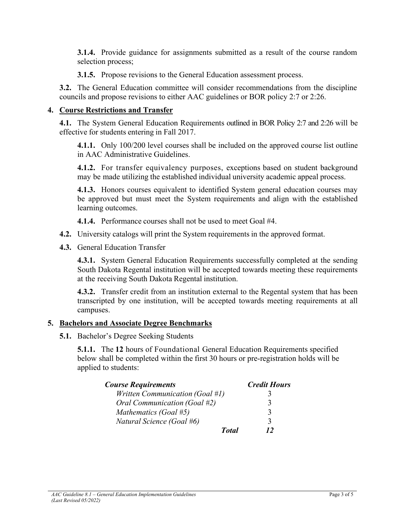**3.1.4.** Provide guidance for assignments submitted as a result of the course random selection process;

**3.1.5.** Propose revisions to the General Education assessment process.

**3.2.** The General Education committee will consider recommendations from the discipline councils and propose revisions to either AAC guidelines or BOR policy 2:7 or 2:26.

### **4. Course Restrictions and Transfer**

**4.1.** The System General Education Requirements outlined in BOR Policy 2:7 and 2:26 will be effective for students entering in Fall 2017.

**4.1.1.** Only 100/200 level courses shall be included on the approved course list outline in AAC Administrative Guidelines.

**4.1.2.** For transfer equivalency purposes, exceptions based on student background may be made utilizing the established individual university academic appeal process.

**4.1.3.** Honors courses equivalent to identified System general education courses may be approved but must meet the System requirements and align with the established learning outcomes.

**4.1.4.** Performance courses shall not be used to meet Goal #4.

- **4.2.** University catalogs will print the System requirements in the approved format.
- **4.3.** General Education Transfer

**4.3.1.** System General Education Requirements successfully completed at the sending South Dakota Regental institution will be accepted towards meeting these requirements at the receiving South Dakota Regental institution.

**4.3.2.** Transfer credit from an institution external to the Regental system that has been transcripted by one institution, will be accepted towards meeting requirements at all campuses.

### **5. Bachelors and Associate Degree Benchmarks**

**5.1.** Bachelor's Degree Seeking Students

**5.1.1.** The **12** hours of Foundational General Education Requirements specified below shall be completed within the first 30 hours or pre-registration holds will be applied to students:

| <b>Course Requirements</b>      | <b>Credit Hours</b> |
|---------------------------------|---------------------|
| Written Communication (Goal #1) |                     |
| Oral Communication (Goal #2)    | 3                   |
| Mathematics (Goal #5)           | 3                   |
| Natural Science (Goal #6)       | 3                   |
| <b>Total</b>                    | 12                  |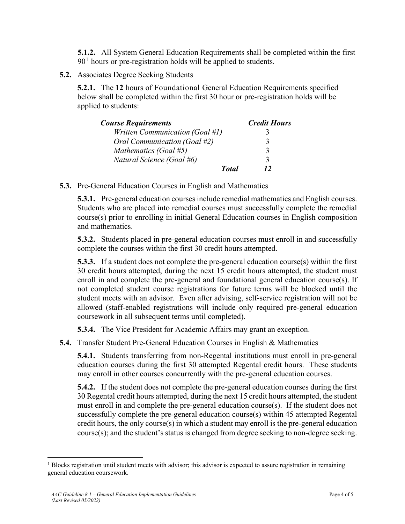**5.1.2.** All System General Education Requirements shall be completed within the first  $90<sup>1</sup>$  $90<sup>1</sup>$  $90<sup>1</sup>$  hours or pre-registration holds will be applied to students.

**5.2.** Associates Degree Seeking Students

**5.2.1.** The **12** hours of Foundational General Education Requirements specified below shall be completed within the first 30 hour or pre-registration holds will be applied to students:

| <b>Course Requirements</b>      | <b>Credit Hours</b> |
|---------------------------------|---------------------|
| Written Communication (Goal #1) |                     |
| Oral Communication (Goal #2)    |                     |
| Mathematics (Goal #5)           |                     |
| Natural Science (Goal #6)       |                     |
| <b>Total</b>                    | 12                  |

**5.3.** Pre-General Education Courses in English and Mathematics

**5.3.1.** Pre-general education courses include remedial mathematics and English courses. Students who are placed into remedial courses must successfully complete the remedial course(s) prior to enrolling in initial General Education courses in English composition and mathematics.

**5.3.2.** Students placed in pre-general education courses must enroll in and successfully complete the courses within the first 30 credit hours attempted.

**5.3.3.** If a student does not complete the pre-general education course(s) within the first 30 credit hours attempted, during the next 15 credit hours attempted, the student must enroll in and complete the pre-general and foundational general education course(s). If not completed student course registrations for future terms will be blocked until the student meets with an advisor. Even after advising, self-service registration will not be allowed (staff-enabled registrations will include only required pre-general education coursework in all subsequent terms until completed).

**5.3.4.** The Vice President for Academic Affairs may grant an exception.

**5.4.** Transfer Student Pre-General Education Courses in English & Mathematics

**5.4.1.** Students transferring from non-Regental institutions must enroll in pre-general education courses during the first 30 attempted Regental credit hours. These students may enroll in other courses concurrently with the pre-general education courses.

**5.4.2.** If the student does not complete the pre-general education courses during the first 30 Regental credit hours attempted, during the next 15 credit hours attempted, the student must enroll in and complete the pre-general education course(s). If the student does not successfully complete the pre-general education course(s) within 45 attempted Regental credit hours, the only course(s) in which a student may enroll is the pre-general education course(s); and the student's status is changed from degree seeking to non-degree seeking.

<span id="page-3-0"></span> $<sup>1</sup>$  Blocks registration until student meets with advisor; this advisor is expected to assure registration in remaining</sup> general education coursework.